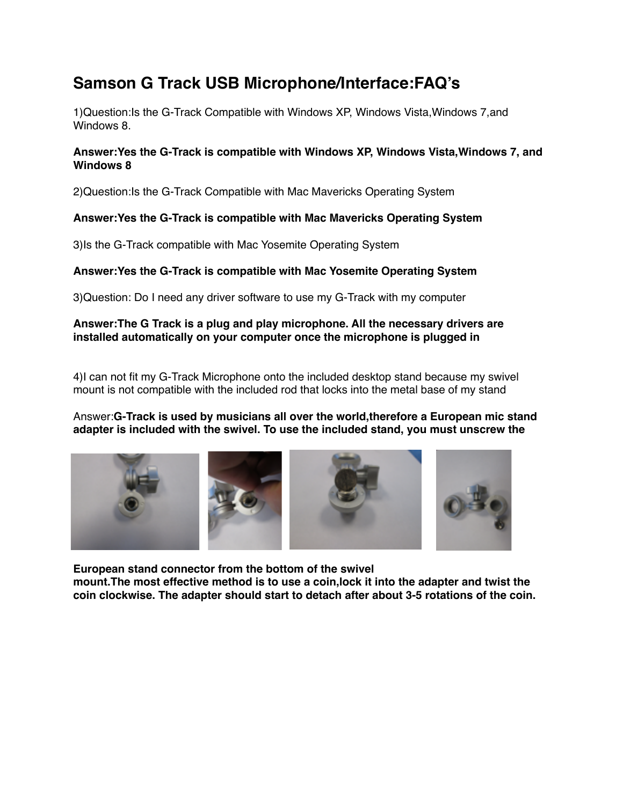# **Samson G Track USB Microphone/Interface:FAQ's**

1)Question:Is the G-Track Compatible with Windows XP, Windows Vista,Windows 7,and Windows 8.

### **Answer:Yes the G-Track is compatible with Windows XP, Windows Vista,Windows 7, and Windows 8**

2)Question:Is the G-Track Compatible with Mac Mavericks Operating System

## **Answer:Yes the G-Track is compatible with Mac Mavericks Operating System**

3)Is the G-Track compatible with Mac Yosemite Operating System

## **Answer:Yes the G-Track is compatible with Mac Yosemite Operating System**

3)Question: Do I need any driver software to use my G-Track with my computer

### **Answer:The G Track is a plug and play microphone. All the necessary drivers are installed automatically on your computer once the microphone is plugged in**

4)I can not fit my G-Track Microphone onto the included desktop stand because my swivel mount is not compatible with the included rod that locks into the metal base of my stand

### Answer:**G-Track is used by musicians all over the world,therefore a European mic stand adapter is included with the swivel. To use the included stand, you must unscrew the**



**European stand connector from the bottom of the swivel mount.The most effective method is to use a coin,lock it into the adapter and twist the coin clockwise. The adapter should start to detach after about 3-5 rotations of the coin.**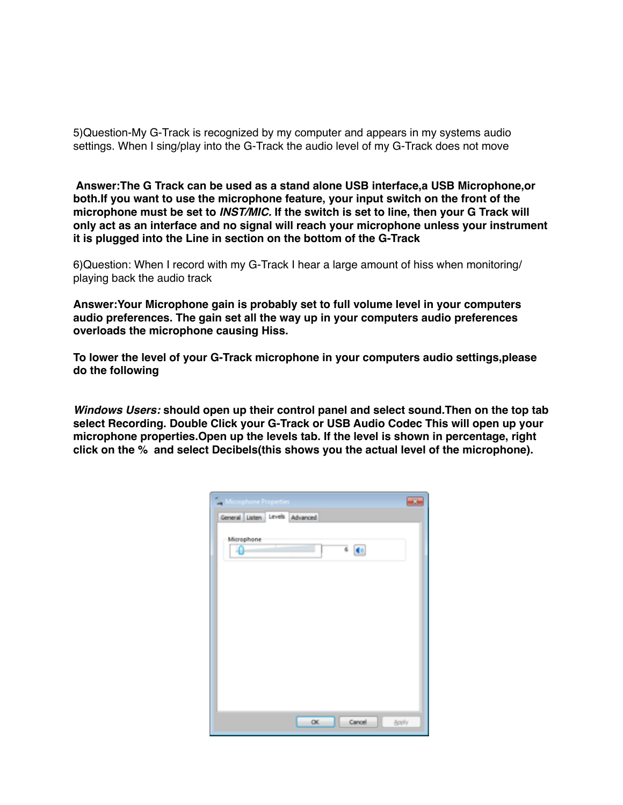5)Question-My G-Track is recognized by my computer and appears in my systems audio settings. When I sing/play into the G-Track the audio level of my G-Track does not move

 **Answer:The G Track can be used as a stand alone USB interface,a USB Microphone,or both.If you want to use the microphone feature, your input switch on the front of the microphone must be set to** *INST/MIC.* **If the switch is set to line, then your G Track will only act as an interface and no signal will reach your microphone unless your instrument it is plugged into the Line in section on the bottom of the G-Track**

6)Question: When I record with my G-Track I hear a large amount of hiss when monitoring/ playing back the audio track

**Answer:Your Microphone gain is probably set to full volume level in your computers audio preferences. The gain set all the way up in your computers audio preferences overloads the microphone causing Hiss.**

**To lower the level of your G-Track microphone in your computers audio settings,please do the following**

*Windows Users:* **should open up their control panel and select sound.Then on the top tab select Recording. Double Click your G-Track or USB Audio Codec This will open up your microphone properties.Open up the levels tab. If the level is shown in percentage, right click on the % and select Decibels(this shows you the actual level of the microphone).** 

| $-13$<br>ال<br>crophone Properties |
|------------------------------------|
| General Listen Levels Advanced     |
| Microphone<br>$6 - 40$<br>۵        |
|                                    |
|                                    |
|                                    |
|                                    |
|                                    |
|                                    |
|                                    |
|                                    |
| Cancel<br>oc.<br><b>Apply</b>      |